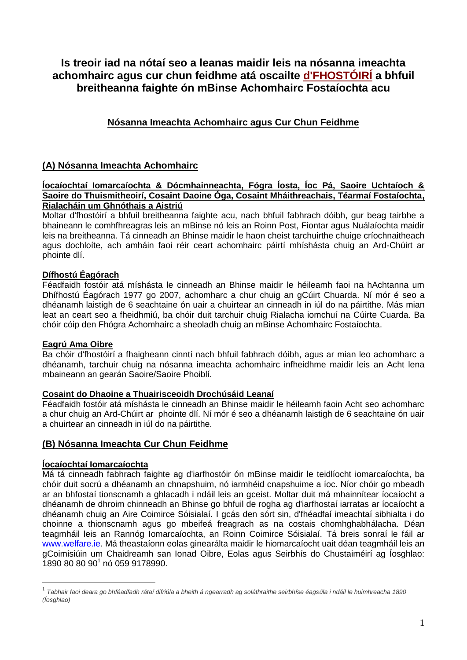# **Is treoir iad na nótaí seo a leanas maidir leis na nósanna imeachta achomhairc agus cur chun feidhme atá oscailte d'FHOSTÓIRÍ a bhfuil breitheanna faighte ón mBinse Achomhairc Fostaíochta acu**

# **Nósanna Imeachta Achomhairc agus Cur Chun Feidhme**

# **(A) Nósanna Imeachta Achomhairc**

## **Íocaíochtaí Iomarcaíochta & Dócmhainneachta, Fógra Íosta, Íoc Pá, Saoire Uchtaíoch & Saoire do Thuismitheoirí, Cosaint Daoine Óga, Cosaint Mháithreachais, Téarmaí Fostaíochta, Rialacháin um Ghnóthais a Aistriú**

Moltar d'fhostóirí a bhfuil breitheanna faighte acu, nach bhfuil fabhrach dóibh, gur beag tairbhe a bhaineann le comhfhreagras leis an mBinse nó leis an Roinn Post, Fiontar agus Nuálaíochta maidir leis na breitheanna. Tá cinneadh an Bhinse maidir le haon cheist tarchuirthe chuige críochnaitheach agus dochloíte, ach amháin faoi réir ceart achomhairc páirtí mhíshásta chuig an Ard-Chúirt ar phointe dlí.

# **Dífhostú Éagórach**

Féadfaidh fostóir atá míshásta le cinneadh an Bhinse maidir le héileamh faoi na hAchtanna um Dhífhostú Éagórach 1977 go 2007, achomharc a chur chuig an gCúirt Chuarda. Ní mór é seo a dhéanamh laistigh de 6 seachtaine ón uair a chuirtear an cinneadh in iúl do na páirtithe. Más mian leat an ceart seo a fheidhmiú, ba chóir duit tarchuir chuig Rialacha iomchuí na Cúirte Cuarda. Ba chóir cóip den Fhógra Achomhairc a sheoladh chuig an mBinse Achomhairc Fostaíochta.

# **Eagrú Ama Oibre**

Ba chóir d'fhostóirí a fhaigheann cinntí nach bhfuil fabhrach dóibh, agus ar mian leo achomharc a dhéanamh, tarchuir chuig na nósanna imeachta achomhairc infheidhme maidir leis an Acht lena mbaineann an gearán Saoire/Saoire Phoiblí.

## **Cosaint do Dhaoine a Thuairisceoidh Drochúsáid Leanaí**

Féadfaidh fostóir atá míshásta le cinneadh an Bhinse maidir le héileamh faoin Acht seo achomharc a chur chuig an Ard-Chúirt ar phointe dlí. Ní mór é seo a dhéanamh laistigh de 6 seachtaine ón uair a chuirtear an cinneadh in iúl do na páirtithe.

# **(B) Nósanna Imeachta Cur Chun Feidhme**

# **Íocaíochtaí Iomarcaíochta**

<u>.</u>

Má tá cinneadh fabhrach faighte ag d'iarfhostóir ón mBinse maidir le teidlíocht iomarcaíochta, ba chóir duit socrú a dhéanamh an chnapshuim, nó iarmhéid cnapshuime a íoc. Níor chóir go mbeadh ar an bhfostaí tionscnamh a ghlacadh i ndáil leis an gceist. Moltar duit má mhainnítear íocaíocht a dhéanamh de dhroim chinneadh an Bhinse go bhfuil de rogha ag d'iarfhostaí iarratas ar íocaíocht a dhéanamh chuig an Aire Coimirce Sóisialaí. I gcás den sórt sin, d'fhéadfaí imeachtaí sibhialta i do choinne a thionscnamh agus go mbeifeá freagrach as na costais chomhghabhálacha. Déan teagmháil leis an Rannóg Iomarcaíochta, an Roinn Coimirce Sóisialaí. Tá breis sonraí le fáil ar [www.welfare.ie.](http://www.welfare.ie/) Má theastaíonn eolas ginearálta maidir le hiomarcaíocht uait déan teagmháil leis an gCoimisiúin um Chaidreamh san Ionad Oibre, Eolas agus Seirbhís do Chustaiméirí ag Íosghlao: 1890 80 80 90<sup>1</sup> nó 059 9178990.

<sup>1</sup> *Tabhair faoi deara go bhféadfadh rátaí difriúla a bheith á ngearradh ag soláthraithe seirbhíse éagsúla i ndáil le huimhreacha 1890 (Íosghlao)*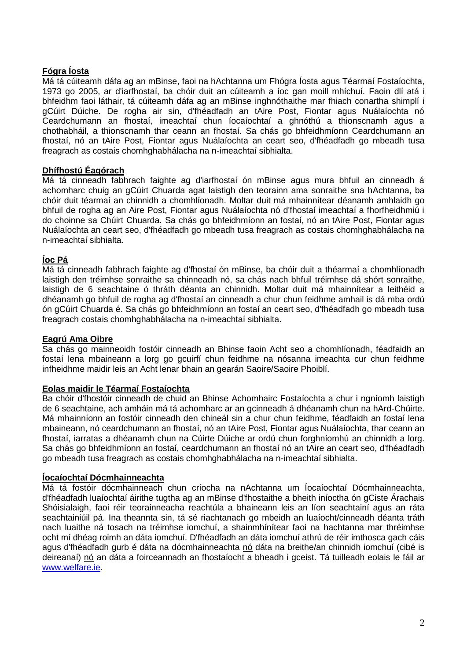# **Fógra Íosta**

Má tá cúiteamh dáfa ag an mBinse, faoi na hAchtanna um Fhógra Íosta agus Téarmaí Fostaíochta, 1973 go 2005, ar d'iarfhostaí, ba chóir duit an cúiteamh a íoc gan moill mhíchuí. Faoin dlí atá i bhfeidhm faoi láthair, tá cúiteamh dáfa ag an mBinse inghnóthaithe mar fhiach conartha shimplí i gCúirt Dúiche. De rogha air sin, d'fhéadfadh an tAire Post, Fiontar agus Nuálaíochta nó Ceardchumann an fhostaí, imeachtaí chun íocaíochtaí a ghnóthú a thionscnamh agus a chothabháil, a thionscnamh thar ceann an fhostaí. Sa chás go bhfeidhmíonn Ceardchumann an fhostaí, nó an tAire Post, Fiontar agus Nuálaíochta an ceart seo, d'fhéadfadh go mbeadh tusa freagrach as costais chomhghabhálacha na n-imeachtaí sibhialta.

# **Dhífhostú Éagórach**

Má tá cinneadh fabhrach faighte ag d'iarfhostaí ón mBinse agus mura bhfuil an cinneadh á achomharc chuig an gCúirt Chuarda agat laistigh den teorainn ama sonraithe sna hAchtanna, ba chóir duit téarmaí an chinnidh a chomhlíonadh. Moltar duit má mhainnítear déanamh amhlaidh go bhfuil de rogha ag an Aire Post, Fiontar agus Nuálaíochta nó d'fhostaí imeachtaí a fhorfheidhmiú i do choinne sa Chúirt Chuarda. Sa chás go bhfeidhmíonn an fostaí, nó an tAire Post, Fiontar agus Nuálaíochta an ceart seo, d'fhéadfadh go mbeadh tusa freagrach as costais chomhghabhálacha na n-imeachtaí sibhialta.

## **Íoc Pá**

Má tá cinneadh fabhrach faighte ag d'fhostaí ón mBinse, ba chóir duit a théarmaí a chomhlíonadh laistigh den tréimhse sonraithe sa chinneadh nó, sa chás nach bhfuil tréimhse dá shórt sonraithe, laistigh de 6 seachtaine ó thráth déanta an chinnidh. Moltar duit má mhainnítear a leithéid a dhéanamh go bhfuil de rogha ag d'fhostaí an cinneadh a chur chun feidhme amhail is dá mba ordú ón gCúirt Chuarda é. Sa chás go bhfeidhmíonn an fostaí an ceart seo, d'fhéadfadh go mbeadh tusa freagrach costais chomhghabhálacha na n-imeachtaí sibhialta.

## **Eagrú Ama Oibre**

Sa chás go mainneoidh fostóir cinneadh an Bhinse faoin Acht seo a chomhlíonadh, féadfaidh an fostaí lena mbaineann a lorg go gcuirfí chun feidhme na nósanna imeachta cur chun feidhme infheidhme maidir leis an Acht lenar bhain an gearán Saoire/Saoire Phoiblí.

## **Eolas maidir le Téarmaí Fostaíochta**

Ba chóir d'fhostóir cinneadh de chuid an Bhinse Achomhairc Fostaíochta a chur i ngníomh laistigh de 6 seachtaine, ach amháin má tá achomharc ar an gcinneadh á dhéanamh chun na hArd-Chúirte. Má mhainníonn an fostóir cinneadh den chineál sin a chur chun feidhme, féadfaidh an fostaí lena mbaineann, nó ceardchumann an fhostaí, nó an tAire Post, Fiontar agus Nuálaíochta, thar ceann an fhostaí, iarratas a dhéanamh chun na Cúirte Dúiche ar ordú chun forghníomhú an chinnidh a lorg. Sa chás go bhfeidhmíonn an fostaí, ceardchumann an fhostaí nó an tAire an ceart seo, d'fhéadfadh go mbeadh tusa freagrach as costais chomhghabhálacha na n-imeachtaí sibhialta.

## **Íocaíochtaí Dócmhainneachta**

Má tá fostóir dócmhainneach chun críocha na nAchtanna um Íocaíochtaí Dócmhainneachta, d'fhéadfadh luaíochtaí áirithe tugtha ag an mBinse d'fhostaithe a bheith iníoctha ón gCiste Árachais Shóisialaigh, faoi réir teorainneacha reachtúla a bhaineann leis an líon seachtainí agus an ráta seachtainiúil pá. Ina theannta sin, tá sé riachtanach go mbeidh an luaíocht/cinneadh déanta tráth nach luaithe ná tosach na tréimhse iomchuí, a shainmhínítear faoi na hachtanna mar thréimhse ocht mí dhéag roimh an dáta iomchuí. D'fhéadfadh an dáta iomchuí athrú de réir imthosca gach cáis agus d'fhéadfadh gurb é dáta na dócmhainneachta nó dáta na breithe/an chinnidh iomchuí (cibé is deireanaí) nó an dáta a foirceannadh an fhostaíocht a bheadh i gceist. Tá tuilleadh eolais le fáil ar [www.welfare.ie.](http://www.welfare.ie/)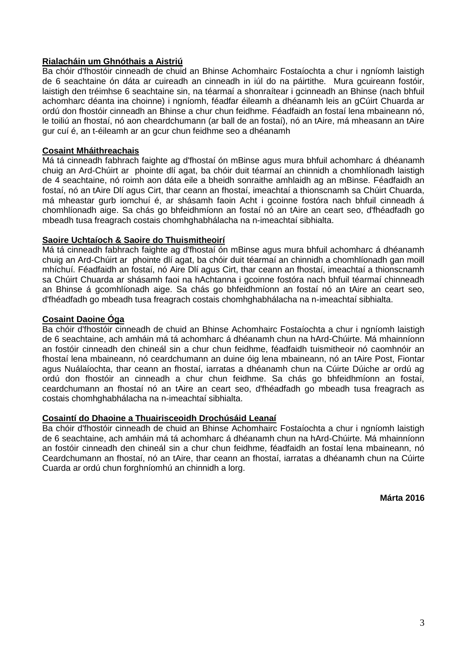## **Rialacháin um Ghnóthais a Aistriú**

Ba chóir d'fhostóir cinneadh de chuid an Bhinse Achomhairc Fostaíochta a chur i ngníomh laistigh de 6 seachtaine ón dáta ar cuireadh an cinneadh in iúl do na páirtithe. Mura gcuireann fostóir, laistigh den tréimhse 6 seachtaine sin, na téarmaí a shonraítear i gcinneadh an Bhinse (nach bhfuil achomharc déanta ina choinne) i ngníomh, féadfar éileamh a dhéanamh leis an gCúirt Chuarda ar ordú don fhostóir cinneadh an Bhinse a chur chun feidhme. Féadfaidh an fostaí lena mbaineann nó, le toiliú an fhostaí, nó aon cheardchumann (ar ball de an fostaí), nó an tAire, má mheasann an tAire gur cuí é, an t-éileamh ar an gcur chun feidhme seo a dhéanamh

## **Cosaint Mháithreachais**

Má tá cinneadh fabhrach faighte ag d'fhostaí ón mBinse agus mura bhfuil achomharc á dhéanamh chuig an Ard-Chúirt ar phointe dlí agat, ba chóir duit téarmaí an chinnidh a chomhlíonadh laistigh de 4 seachtaine, nó roimh aon dáta eile a bheidh sonraithe amhlaidh ag an mBinse. Féadfaidh an fostaí, nó an tAire Dlí agus Cirt, thar ceann an fhostaí, imeachtaí a thionscnamh sa Chúirt Chuarda, má mheastar gurb iomchuí é, ar shásamh faoin Acht i gcoinne fostóra nach bhfuil cinneadh á chomhlíonadh aige. Sa chás go bhfeidhmíonn an fostaí nó an tAire an ceart seo, d'fhéadfadh go mbeadh tusa freagrach costais chomhghabhálacha na n-imeachtaí sibhialta.

## **Saoire Uchtaíoch & Saoire do Thuismitheoirí**

Má tá cinneadh fabhrach faighte ag d'fhostaí ón mBinse agus mura bhfuil achomharc á dhéanamh chuig an Ard-Chúirt ar phointe dlí agat, ba chóir duit téarmaí an chinnidh a chomhlíonadh gan moill mhíchuí. Féadfaidh an fostaí, nó Aire Dlí agus Cirt, thar ceann an fhostaí, imeachtaí a thionscnamh sa Chúirt Chuarda ar shásamh faoi na hAchtanna i gcoinne fostóra nach bhfuil téarmaí chinneadh an Bhinse á gcomhlíonadh aige. Sa chás go bhfeidhmíonn an fostaí nó an tAire an ceart seo, d'fhéadfadh go mbeadh tusa freagrach costais chomhghabhálacha na n-imeachtaí sibhialta.

## **Cosaint Daoine Óga**

Ba chóir d'fhostóir cinneadh de chuid an Bhinse Achomhairc Fostaíochta a chur i ngníomh laistigh de 6 seachtaine, ach amháin má tá achomharc á dhéanamh chun na hArd-Chúirte. Má mhainníonn an fostóir cinneadh den chineál sin a chur chun feidhme, féadfaidh tuismitheoir nó caomhnóir an fhostaí lena mbaineann, nó ceardchumann an duine óig lena mbaineann, nó an tAire Post, Fiontar agus Nuálaíochta, thar ceann an fhostaí, iarratas a dhéanamh chun na Cúirte Dúiche ar ordú ag ordú don fhostóir an cinneadh a chur chun feidhme. Sa chás go bhfeidhmíonn an fostaí, ceardchumann an fhostaí nó an tAire an ceart seo, d'fhéadfadh go mbeadh tusa freagrach as costais chomhghabhálacha na n-imeachtaí sibhialta.

## **Cosaintí do Dhaoine a Thuairisceoidh Drochúsáid Leanaí**

Ba chóir d'fhostóir cinneadh de chuid an Bhinse Achomhairc Fostaíochta a chur i ngníomh laistigh de 6 seachtaine, ach amháin má tá achomharc á dhéanamh chun na hArd-Chúirte. Má mhainníonn an fostóir cinneadh den chineál sin a chur chun feidhme, féadfaidh an fostaí lena mbaineann, nó Ceardchumann an fhostaí, nó an tAire, thar ceann an fhostaí, iarratas a dhéanamh chun na Cúirte Cuarda ar ordú chun forghníomhú an chinnidh a lorg.

**Márta 2016**